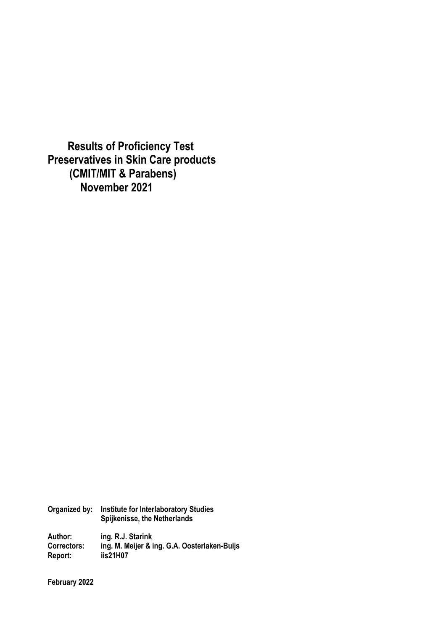**Results of Proficiency Test Preservatives in Skin Care products (CMIT/MIT & Parabens) November 2021**

**Organized by: Institute for Interlaboratory Studies Spijkenisse, the Netherlands Author: ing. R.J. Starink Correctors: ing. M. Meijer & ing. G.A. Oosterlaken-Buijs** 

**February 2022** 

**Report: iis21H07**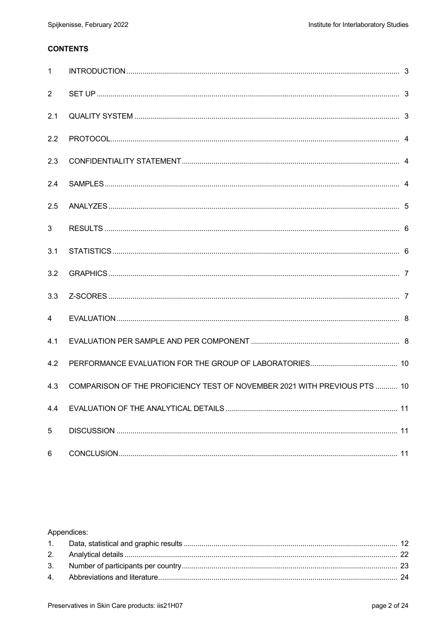# **CONTENTS**

| $\mathbf{1}$ |                                                                           |  |
|--------------|---------------------------------------------------------------------------|--|
| 2            |                                                                           |  |
| 2.1          |                                                                           |  |
| 2.2          |                                                                           |  |
| 2.3          |                                                                           |  |
| 2.4          |                                                                           |  |
| 2.5          |                                                                           |  |
| 3            |                                                                           |  |
| 3.1          |                                                                           |  |
| 3.2          |                                                                           |  |
| 3.3          |                                                                           |  |
| 4            |                                                                           |  |
| 4.1          |                                                                           |  |
| 4.2          |                                                                           |  |
| 4.3          | COMPARISON OF THE PROFICIENCY TEST OF NOVEMBER 2021 WITH PREVIOUS PTS  10 |  |
| 4.4          |                                                                           |  |
| 5            |                                                                           |  |
| 6            |                                                                           |  |

## Appendices: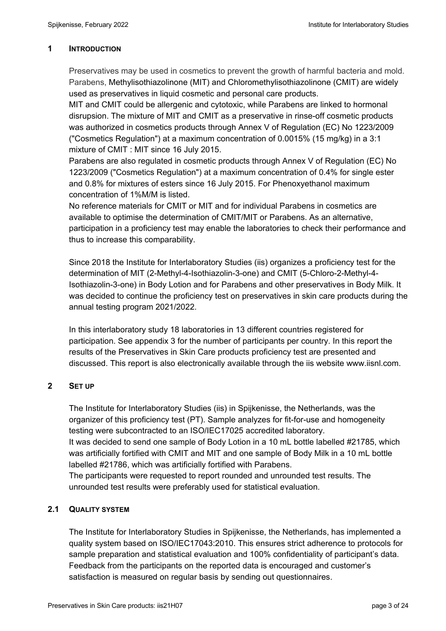## **1 INTRODUCTION**

Preservatives may be used in cosmetics to prevent the growth of harmful bacteria and mold. Parabens, Methylisothiazolinone (MIT) and Chloromethylisothiazolinone (CMIT) are widely used as preservatives in liquid cosmetic and personal care products.

MIT and CMIT could be allergenic and cytotoxic, while Parabens are linked to hormonal disrupsion. The mixture of MIT and CMIT as a preservative in rinse-off cosmetic products was authorized in cosmetics products through Annex V of Regulation (EC) No 1223/2009 ("Cosmetics Regulation") at a maximum concentration of 0.0015% (15 mg/kg) in a 3:1 mixture of CMIT : MIT since 16 July 2015.

Parabens are also regulated in cosmetic products through Annex V of Regulation (EC) No 1223/2009 ("Cosmetics Regulation") at a maximum concentration of 0.4% for single ester and 0.8% for mixtures of esters since 16 July 2015. For Phenoxyethanol maximum concentration of 1%M/M is listed.

No reference materials for CMIT or MIT and for individual Parabens in cosmetics are available to optimise the determination of CMIT/MIT or Parabens. As an alternative, participation in a proficiency test may enable the laboratories to check their performance and thus to increase this comparability.

Since 2018 the Institute for Interlaboratory Studies (iis) organizes a proficiency test for the determination of MIT (2-Methyl-4-Isothiazolin-3-one) and CMIT (5-Chloro-2-Methyl-4- Isothiazolin-3-one) in Body Lotion and for Parabens and other preservatives in Body Milk. It was decided to continue the proficiency test on preservatives in skin care products during the annual testing program 2021/2022.

In this interlaboratory study 18 laboratories in 13 different countries registered for participation. See appendix 3 for the number of participants per country. In this report the results of the Preservatives in Skin Care products proficiency test are presented and discussed. This report is also electronically available through the iis website www.iisnl.com.

## **2 SET UP**

The Institute for Interlaboratory Studies (iis) in Spijkenisse, the Netherlands, was the organizer of this proficiency test (PT). Sample analyzes for fit-for-use and homogeneity testing were subcontracted to an ISO/IEC17025 accredited laboratory. It was decided to send one sample of Body Lotion in a 10 mL bottle labelled #21785, which was artificially fortified with CMIT and MIT and one sample of Body Milk in a 10 mL bottle labelled #21786, which was artificially fortified with Parabens. The participants were requested to report rounded and unrounded test results. The unrounded test results were preferably used for statistical evaluation.

## **2.1 QUALITY SYSTEM**

The Institute for Interlaboratory Studies in Spijkenisse, the Netherlands, has implemented a quality system based on ISO/IEC17043:2010. This ensures strict adherence to protocols for sample preparation and statistical evaluation and 100% confidentiality of participant's data. Feedback from the participants on the reported data is encouraged and customer's satisfaction is measured on regular basis by sending out questionnaires.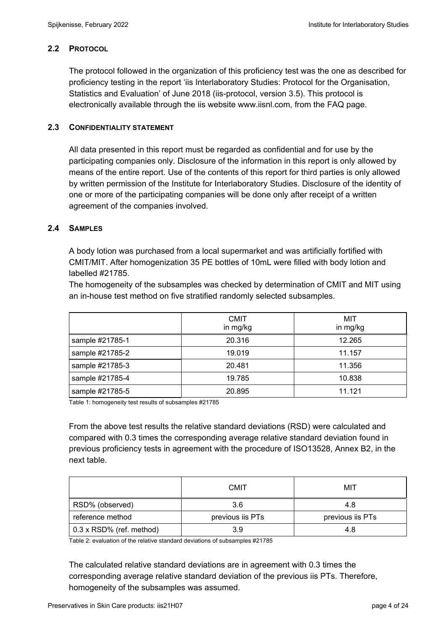## **2.2 PROTOCOL**

The protocol followed in the organization of this proficiency test was the one as described for proficiency testing in the report 'iis Interlaboratory Studies: Protocol for the Organisation, Statistics and Evaluation' of June 2018 (iis-protocol, version 3.5). This protocol is electronically available through the iis website www.iisnl.com, from the FAQ page.

## **2.3 CONFIDENTIALITY STATEMENT**

All data presented in this report must be regarded as confidential and for use by the participating companies only. Disclosure of the information in this report is only allowed by means of the entire report. Use of the contents of this report for third parties is only allowed by written permission of the Institute for Interlaboratory Studies. Disclosure of the identity of one or more of the participating companies will be done only after receipt of a written agreement of the companies involved.

## **2.4 SAMPLES**

A body lotion was purchased from a local supermarket and was artificially fortified with CMIT/MIT. After homogenization 35 PE bottles of 10mL were filled with body lotion and labelled #21785.

The homogeneity of the subsamples was checked by determination of CMIT and MIT using an in-house test method on five stratified randomly selected subsamples.

|                 | <b>CMIT</b><br>in mg/kg | MIT<br>in mg/kg |
|-----------------|-------------------------|-----------------|
| sample #21785-1 | 20.316                  | 12.265          |
| sample #21785-2 | 19.019                  | 11.157          |
| sample #21785-3 | 20.481                  | 11.356          |
| sample #21785-4 | 19.785                  | 10.838          |
| sample #21785-5 | 20.895                  | 11.121          |

Table 1: homogeneity test results of subsamples #21785

From the above test results the relative standard deviations (RSD) were calculated and compared with 0.3 times the corresponding average relative standard deviation found in previous proficiency tests in agreement with the procedure of ISO13528, Annex B2, in the next table.

|                                 | <b>CMIT</b>      | MIT              |
|---------------------------------|------------------|------------------|
| RSD% (observed)                 | 3.6              | 4.8              |
| reference method                | previous iis PTs | previous iis PTs |
| $0.3 \times$ RSD% (ref. method) | 3.9              | 4.8              |

Table 2: evaluation of the relative standard deviations of subsamples #21785

The calculated relative standard deviations are in agreement with 0.3 times the corresponding average relative standard deviation of the previous iis PTs. Therefore, homogeneity of the subsamples was assumed.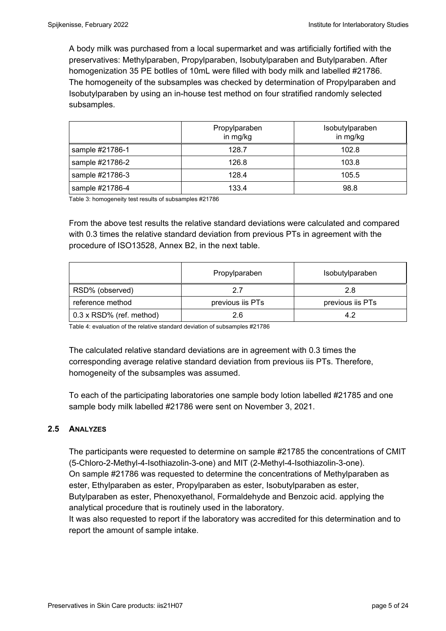A body milk was purchased from a local supermarket and was artificially fortified with the preservatives: Methylparaben, Propylparaben, Isobutylparaben and Butylparaben. After homogenization 35 PE botlles of 10mL were filled with body milk and labelled #21786. The homogeneity of the subsamples was checked by determination of Propylparaben and Isobutylparaben by using an in-house test method on four stratified randomly selected subsamples.

|                 | Propylparaben<br>in mg/kg | Isobutylparaben<br>in mg/kg |
|-----------------|---------------------------|-----------------------------|
| sample #21786-1 | 128.7                     | 102.8                       |
| sample #21786-2 | 126.8                     | 103.8                       |
| sample #21786-3 | 128.4                     | 105.5                       |
| sample #21786-4 | 133.4                     | 98.8                        |

Table 3: homogeneity test results of subsamples #21786

From the above test results the relative standard deviations were calculated and compared with 0.3 times the relative standard deviation from previous PTs in agreement with the procedure of ISO13528, Annex B2, in the next table.

|                                 | Propylparaben    | Isobutylparaben  |
|---------------------------------|------------------|------------------|
| RSD% (observed)                 | 27               | 2.8              |
| reference method                | previous iis PTs | previous iis PTs |
| $0.3 \times$ RSD% (ref. method) | 2.6              | 4.2              |

Table 4: evaluation of the relative standard deviation of subsamples #21786

The calculated relative standard deviations are in agreement with 0.3 times the corresponding average relative standard deviation from previous iis PTs. Therefore, homogeneity of the subsamples was assumed.

To each of the participating laboratories one sample body lotion labelled #21785 and one sample body milk labelled #21786 were sent on November 3, 2021.

## **2.5 ANALYZES**

The participants were requested to determine on sample #21785 the concentrations of CMIT (5-Chloro-2-Methyl-4-Isothiazolin-3-one) and MIT (2-Methyl-4-Isothiazolin-3-one). On sample #21786 was requested to determine the concentrations of Methylparaben as ester, Ethylparaben as ester, Propylparaben as ester, Isobutylparaben as ester, Butylparaben as ester, Phenoxyethanol, Formaldehyde and Benzoic acid. applying the analytical procedure that is routinely used in the laboratory.

It was also requested to report if the laboratory was accredited for this determination and to report the amount of sample intake.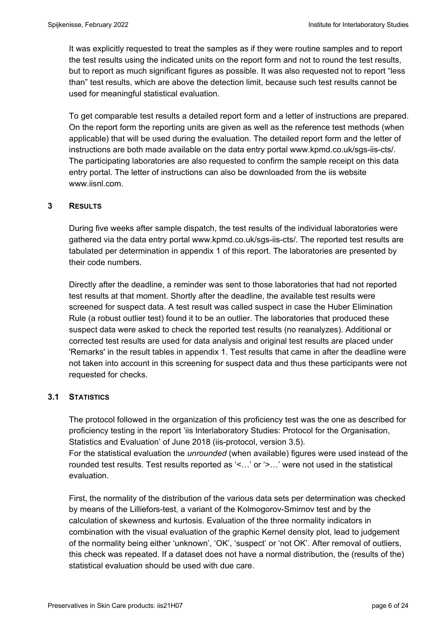It was explicitly requested to treat the samples as if they were routine samples and to report the test results using the indicated units on the report form and not to round the test results, but to report as much significant figures as possible. It was also requested not to report "less than" test results, which are above the detection limit, because such test results cannot be used for meaningful statistical evaluation.

To get comparable test results a detailed report form and a letter of instructions are prepared. On the report form the reporting units are given as well as the reference test methods (when applicable) that will be used during the evaluation. The detailed report form and the letter of instructions are both made available on the data entry portal www.kpmd.co.uk/sgs-iis-cts/. The participating laboratories are also requested to confirm the sample receipt on this data entry portal. The letter of instructions can also be downloaded from the iis website www.iisnl.com.

## **3 RESULTS**

During five weeks after sample dispatch, the test results of the individual laboratories were gathered via the data entry portal www.kpmd.co.uk/sgs-iis-cts/. The reported test results are tabulated per determination in appendix 1 of this report. The laboratories are presented by their code numbers.

Directly after the deadline, a reminder was sent to those laboratories that had not reported test results at that moment. Shortly after the deadline, the available test results were screened for suspect data. A test result was called suspect in case the Huber Elimination Rule (a robust outlier test) found it to be an outlier. The laboratories that produced these suspect data were asked to check the reported test results (no reanalyzes). Additional or corrected test results are used for data analysis and original test results are placed under 'Remarks' in the result tables in appendix 1. Test results that came in after the deadline were not taken into account in this screening for suspect data and thus these participants were not requested for checks.

### **3.1 STATISTICS**

The protocol followed in the organization of this proficiency test was the one as described for proficiency testing in the report 'iis Interlaboratory Studies: Protocol for the Organisation, Statistics and Evaluation' of June 2018 (iis-protocol, version 3.5).

For the statistical evaluation the *unrounded* (when available) figures were used instead of the rounded test results. Test results reported as '<…' or '>…' were not used in the statistical evaluation.

First, the normality of the distribution of the various data sets per determination was checked by means of the Lilliefors-test, a variant of the Kolmogorov-Smirnov test and by the calculation of skewness and kurtosis. Evaluation of the three normality indicators in combination with the visual evaluation of the graphic Kernel density plot, lead to judgement of the normality being either 'unknown', 'OK', 'suspect' or 'not OK'. After removal of outliers, this check was repeated. If a dataset does not have a normal distribution, the (results of the) statistical evaluation should be used with due care.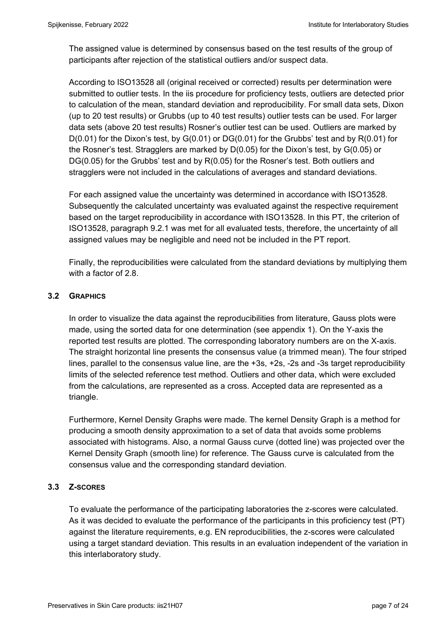The assigned value is determined by consensus based on the test results of the group of participants after rejection of the statistical outliers and/or suspect data.

According to ISO13528 all (original received or corrected) results per determination were submitted to outlier tests. In the iis procedure for proficiency tests, outliers are detected prior to calculation of the mean, standard deviation and reproducibility. For small data sets, Dixon (up to 20 test results) or Grubbs (up to 40 test results) outlier tests can be used. For larger data sets (above 20 test results) Rosner's outlier test can be used. Outliers are marked by  $D(0.01)$  for the Dixon's test, by  $G(0.01)$  or  $DG(0.01)$  for the Grubbs' test and by  $R(0.01)$  for the Rosner's test. Stragglers are marked by D(0.05) for the Dixon's test, by G(0.05) or DG(0.05) for the Grubbs' test and by R(0.05) for the Rosner's test. Both outliers and stragglers were not included in the calculations of averages and standard deviations.

For each assigned value the uncertainty was determined in accordance with ISO13528. Subsequently the calculated uncertainty was evaluated against the respective requirement based on the target reproducibility in accordance with ISO13528. In this PT, the criterion of ISO13528, paragraph 9.2.1 was met for all evaluated tests, therefore, the uncertainty of all assigned values may be negligible and need not be included in the PT report.

Finally, the reproducibilities were calculated from the standard deviations by multiplying them with a factor of 2.8.

## **3.2 GRAPHICS**

In order to visualize the data against the reproducibilities from literature, Gauss plots were made, using the sorted data for one determination (see appendix 1). On the Y-axis the reported test results are plotted. The corresponding laboratory numbers are on the X-axis. The straight horizontal line presents the consensus value (a trimmed mean). The four striped lines, parallel to the consensus value line, are the +3s, +2s, -2s and -3s target reproducibility limits of the selected reference test method. Outliers and other data, which were excluded from the calculations, are represented as a cross. Accepted data are represented as a triangle.

Furthermore, Kernel Density Graphs were made. The kernel Density Graph is a method for producing a smooth density approximation to a set of data that avoids some problems associated with histograms. Also, a normal Gauss curve (dotted line) was projected over the Kernel Density Graph (smooth line) for reference. The Gauss curve is calculated from the consensus value and the corresponding standard deviation.

### **3.3 Z-SCORES**

To evaluate the performance of the participating laboratories the z-scores were calculated. As it was decided to evaluate the performance of the participants in this proficiency test (PT) against the literature requirements, e.g. EN reproducibilities, the z-scores were calculated using a target standard deviation. This results in an evaluation independent of the variation in this interlaboratory study.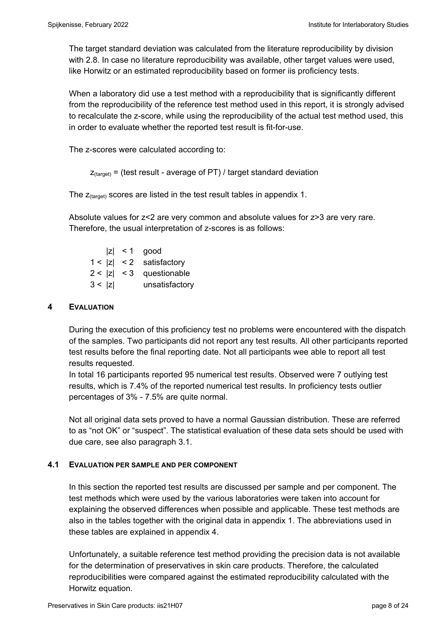The target standard deviation was calculated from the literature reproducibility by division with 2.8. In case no literature reproducibility was available, other target values were used, like Horwitz or an estimated reproducibility based on former iis proficiency tests.

When a laboratory did use a test method with a reproducibility that is significantly different from the reproducibility of the reference test method used in this report, it is strongly advised to recalculate the z-score, while using the reproducibility of the actual test method used, this in order to evaluate whether the reported test result is fit-for-use.

The z-scores were calculated according to:

```
Z_{\text{target}} = (test result - average of PT) / target standard deviation
```
The  $z_{\text{(target)}}$  scores are listed in the test result tables in appendix 1.

Absolute values for z<2 are very common and absolute values for z>3 are very rare. Therefore, the usual interpretation of z-scores is as follows:

 $|z|$  < 1 good  $1 < |z| < 2$  satisfactory  $2 < |z| < 3$  questionable 3 < |z| unsatisfactory

#### **4 EVALUATION**

During the execution of this proficiency test no problems were encountered with the dispatch of the samples. Two participants did not report any test results. All other participants reported test results before the final reporting date. Not all participants wee able to report all test results requested.

In total 16 participants reported 95 numerical test results. Observed were 7 outlying test results, which is 7.4% of the reported numerical test results. In proficiency tests outlier percentages of 3% - 7.5% are quite normal.

Not all original data sets proved to have a normal Gaussian distribution. These are referred to as "not OK" or "suspect". The statistical evaluation of these data sets should be used with due care, see also paragraph 3.1.

### **4.1 EVALUATION PER SAMPLE AND PER COMPONENT**

In this section the reported test results are discussed per sample and per component. The test methods which were used by the various laboratories were taken into account for explaining the observed differences when possible and applicable. These test methods are also in the tables together with the original data in appendix 1. The abbreviations used in these tables are explained in appendix 4.

Unfortunately, a suitable reference test method providing the precision data is not available for the determination of preservatives in skin care products. Therefore, the calculated reproducibilities were compared against the estimated reproducibility calculated with the Horwitz equation.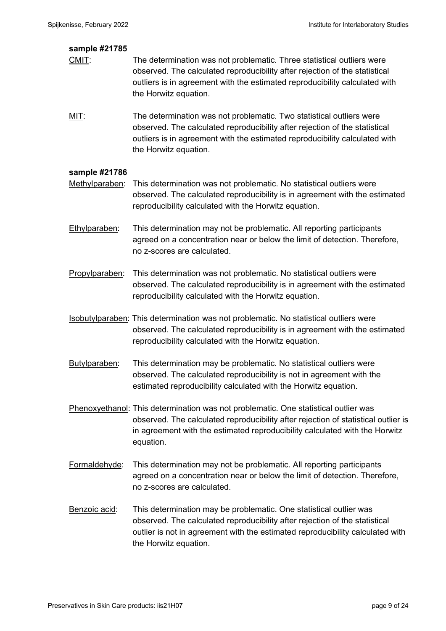| sample #21785  |                                                                                                                                                                                                                                                                       |
|----------------|-----------------------------------------------------------------------------------------------------------------------------------------------------------------------------------------------------------------------------------------------------------------------|
| $CMI$ :        | The determination was not problematic. Three statistical outliers were<br>observed. The calculated reproducibility after rejection of the statistical<br>outliers is in agreement with the estimated reproducibility calculated with<br>the Horwitz equation.         |
| $MIT$ :        | The determination was not problematic. Two statistical outliers were<br>observed. The calculated reproducibility after rejection of the statistical<br>outliers is in agreement with the estimated reproducibility calculated with<br>the Horwitz equation.           |
| sample #21786  |                                                                                                                                                                                                                                                                       |
| Methylparaben: | This determination was not problematic. No statistical outliers were<br>observed. The calculated reproducibility is in agreement with the estimated<br>reproducibility calculated with the Horwitz equation.                                                          |
| Ethylparaben:  | This determination may not be problematic. All reporting participants<br>agreed on a concentration near or below the limit of detection. Therefore,<br>no z-scores are calculated.                                                                                    |
| Propylparaben: | This determination was not problematic. No statistical outliers were<br>observed. The calculated reproducibility is in agreement with the estimated<br>reproducibility calculated with the Horwitz equation.                                                          |
|                | <b>Isobutylparaben:</b> This determination was not problematic. No statistical outliers were<br>observed. The calculated reproducibility is in agreement with the estimated<br>reproducibility calculated with the Horwitz equation.                                  |
| Butylparaben:  | This determination may be problematic. No statistical outliers were<br>observed. The calculated reproducibility is not in agreement with the<br>estimated reproducibility calculated with the Horwitz equation.                                                       |
|                | Phenoxyethanol: This determination was not problematic. One statistical outlier was<br>observed. The calculated reproducibility after rejection of statistical outlier is<br>in agreement with the estimated reproducibility calculated with the Horwitz<br>equation. |
| Formaldehyde:  | This determination may not be problematic. All reporting participants<br>agreed on a concentration near or below the limit of detection. Therefore,<br>no z-scores are calculated.                                                                                    |
| Benzoic acid:  | This determination may be problematic. One statistical outlier was<br>observed. The calculated reproducibility after rejection of the statistical<br>outlier is not in agreement with the estimated reproducibility calculated with<br>the Horwitz equation.          |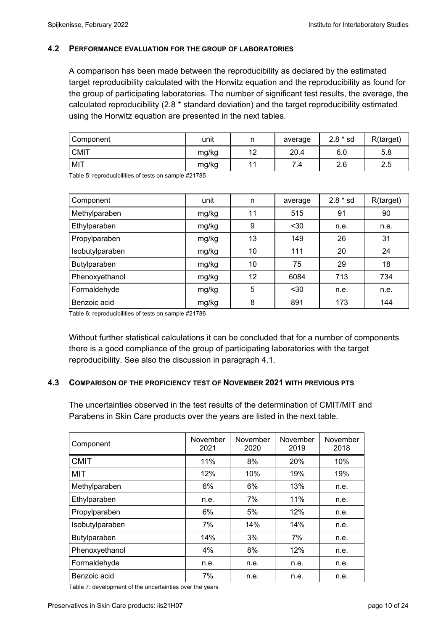#### **4.2 PERFORMANCE EVALUATION FOR THE GROUP OF LABORATORIES**

A comparison has been made between the reproducibility as declared by the estimated target reproducibility calculated with the Horwitz equation and the reproducibility as found for the group of participating laboratories. The number of significant test results, the average, the calculated reproducibility (2.8 \* standard deviation) and the target reproducibility estimated using the Horwitz equation are presented in the next tables.

| Component   | unit  | n            | average | $2.8 * sd$ | R(target) |
|-------------|-------|--------------|---------|------------|-----------|
| <b>CMIT</b> | mg/kg | 12<br>$\sim$ | 20.4    | 6.0        | 5.8       |
| MIT         | mg/kg | 11           | ⇁<br>4. | 2.6        | 2.5       |

Table 5: reproducibilities of tests on sample #21785

| Component       | unit  | n  | average | $2.8 * sd$ | R(target) |
|-----------------|-------|----|---------|------------|-----------|
| Methylparaben   | mg/kg | 11 | 515     | 91         | 90        |
| Ethylparaben    | mg/kg | 9  | $30$    | n.e.       | n.e.      |
| Propylparaben   | mg/kg | 13 | 149     | 26         | 31        |
| Isobutylparaben | mg/kg | 10 | 111     | 20         | 24        |
| Butylparaben    | mg/kg | 10 | 75      | 29         | 18        |
| Phenoxyethanol  | mg/kg | 12 | 6084    | 713        | 734       |
| Formaldehyde    | mg/kg | 5  | $30$    | n.e.       | n.e.      |
| Benzoic acid    | mg/kg | 8  | 891     | 173        | 144       |

Table 6: reproducibilities of tests on sample #21786

Without further statistical calculations it can be concluded that for a number of components there is a good compliance of the group of participating laboratories with the target reproducibility. See also the discussion in paragraph 4.1.

#### **4.3 COMPARISON OF THE PROFICIENCY TEST OF NOVEMBER 2021 WITH PREVIOUS PTS**

The uncertainties observed in the test results of the determination of CMIT/MIT and Parabens in Skin Care products over the years are listed in the next table.

| Component       | November<br>2021 | November<br>2020 | November<br>2019 | November<br>2018 |
|-----------------|------------------|------------------|------------------|------------------|
| <b>CMIT</b>     | 11%              | 8%               | 20%              | 10%              |
| MIT             | 12%              | 10%              | 19%              | 19%              |
| Methylparaben   | 6%               | 6%               | 13%              | n.e.             |
| Ethylparaben    | n.e.             | 7%               | 11%              | n.e.             |
| Propylparaben   | 6%               | 5%               | 12%              | n.e.             |
| Isobutylparaben | 7%               | 14%              | 14%              | n.e.             |
| Butylparaben    | 14%              | 3%               | 7%               | n.e.             |
| Phenoxyethanol  | 4%               | 8%               | 12%              | n.e.             |
| Formaldehyde    | n.e.             | n.e.             | n.e.             | n.e.             |
| Benzoic acid    | 7%               | n.e.             | n.e.             | n.e.             |

Table 7: development of the uncertainties over the years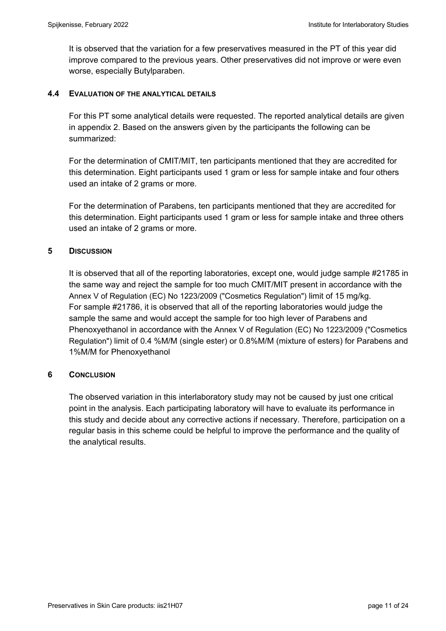It is observed that the variation for a few preservatives measured in the PT of this year did improve compared to the previous years. Other preservatives did not improve or were even worse, especially Butylparaben.

### **4.4 EVALUATION OF THE ANALYTICAL DETAILS**

For this PT some analytical details were requested. The reported analytical details are given in appendix 2. Based on the answers given by the participants the following can be summarized:

For the determination of CMIT/MIT, ten participants mentioned that they are accredited for this determination. Eight participants used 1 gram or less for sample intake and four others used an intake of 2 grams or more.

For the determination of Parabens, ten participants mentioned that they are accredited for this determination. Eight participants used 1 gram or less for sample intake and three others used an intake of 2 grams or more.

## **5 DISCUSSION**

It is observed that all of the reporting laboratories, except one, would judge sample #21785 in the same way and reject the sample for too much CMIT/MIT present in accordance with the Annex V of Regulation (EC) No 1223/2009 ("Cosmetics Regulation") limit of 15 mg/kg. For sample #21786, it is observed that all of the reporting laboratories would judge the sample the same and would accept the sample for too high lever of Parabens and Phenoxyethanol in accordance with the Annex V of Regulation (EC) No 1223/2009 ("Cosmetics Regulation") limit of 0.4 %M/M (single ester) or 0.8%M/M (mixture of esters) for Parabens and 1%M/M for Phenoxyethanol

## **6** CONCLUSION

The observed variation in this interlaboratory study may not be caused by just one critical point in the analysis. Each participating laboratory will have to evaluate its performance in this study and decide about any corrective actions if necessary. Therefore, participation on a regular basis in this scheme could be helpful to improve the performance and the quality of the analytical results.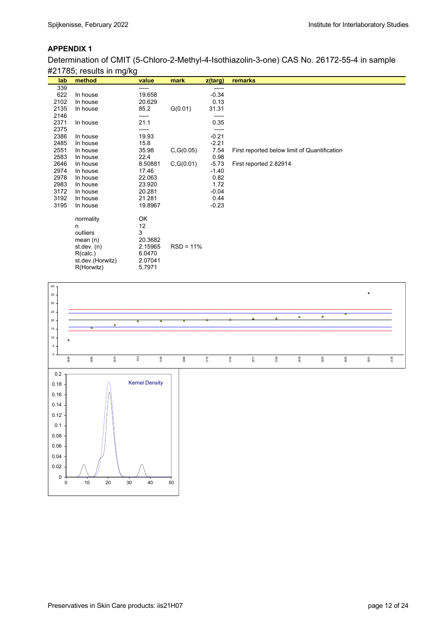Determination of CMIT (5-Chloro-2-Methyl-4-Isothiazolin-3-one) CAS No. 26172-55-4 in sample #21785; results in mg/kg

| lab  | method           | value   | mark        | z(targ) | remarks                                      |
|------|------------------|---------|-------------|---------|----------------------------------------------|
| 339  |                  | -----   |             | -----   |                                              |
| 622  | In house         | 19.658  |             | $-0.34$ |                                              |
| 2102 | In house         | 20.629  |             | 0.13    |                                              |
| 2135 | In house         | 85.2    | G(0.01)     | 31.31   |                                              |
| 2146 |                  | -----   |             | -----   |                                              |
| 2371 | In house         | 21.1    |             | 0.35    |                                              |
| 2375 |                  | -----   |             |         |                                              |
| 2386 | In house         | 19.93   |             | $-0.21$ |                                              |
| 2485 | In house         | 15.8    |             | $-2.21$ |                                              |
| 2551 | In house         | 35.98   | C, G(0.05)  | 7.54    | First reported below limit of Quantification |
| 2583 | In house         | 22.4    |             | 0.98    |                                              |
| 2646 | In house         | 8.50881 | C, G(0.01)  | $-5.73$ | First reported 2.82914                       |
| 2974 | In house         | 17.46   |             | $-1.40$ |                                              |
| 2978 | In house         | 22.063  |             | 0.82    |                                              |
| 2983 | In house         | 23.920  |             | 1.72    |                                              |
| 3172 | In house         | 20.281  |             | $-0.04$ |                                              |
| 3192 | In house         | 21.281  |             | 0.44    |                                              |
| 3195 | In house         | 19.8967 |             | $-0.23$ |                                              |
|      |                  |         |             |         |                                              |
|      | normality        | OK      |             |         |                                              |
|      | n                | 12      |             |         |                                              |
|      | outliers         | 3       |             |         |                                              |
|      | mean $(n)$       | 20.3682 |             |         |                                              |
|      | st.dev. $(n)$    | 2.15965 | $RSD = 11%$ |         |                                              |
|      | R(calc.)         | 6.0470  |             |         |                                              |
|      | st.dev.(Horwitz) | 2.07041 |             |         |                                              |
|      | R(Horwitz)       | 5.7971  |             |         |                                              |
|      |                  |         |             |         |                                              |

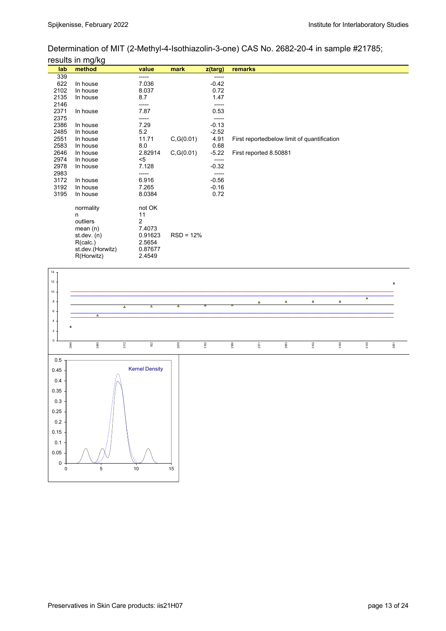Determination of MIT (2-Methyl-4-Isothiazolin-3-one) CAS No. 2682-20-4 in sample #21785; results in ma/ka

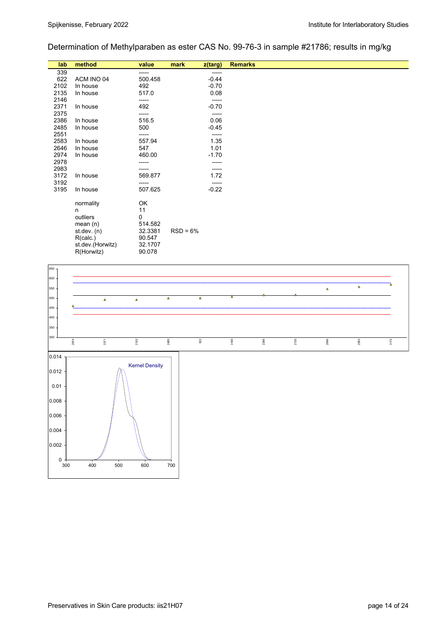# Determination of Methylparaben as ester CAS No. 99-76-3 in sample #21786; results in mg/kg

| lab  | method           | value   | mark       | $z$ (targ) | <b>Remarks</b> |
|------|------------------|---------|------------|------------|----------------|
| 339  |                  | -----   |            | -----      |                |
| 622  | ACM INO 04       | 500.458 |            | $-0.44$    |                |
| 2102 | In house         | 492     |            | $-0.70$    |                |
| 2135 | In house         | 517.0   |            | 0.08       |                |
| 2146 |                  | -----   |            | -----      |                |
| 2371 | In house         | 492     |            | $-0.70$    |                |
| 2375 |                  |         |            |            |                |
| 2386 | In house         | 516.5   |            | 0.06       |                |
| 2485 | In house         | 500     |            | $-0.45$    |                |
| 2551 |                  | -----   |            | -----      |                |
| 2583 | In house         | 557.94  |            | 1.35       |                |
| 2646 | In house         | 547     |            | 1.01       |                |
| 2974 | In house         | 460.00  |            | $-1.70$    |                |
| 2978 |                  |         |            |            |                |
| 2983 |                  |         |            |            |                |
| 3172 | In house         | 569.877 |            | 1.72       |                |
| 3192 |                  |         |            |            |                |
| 3195 | In house         | 507.625 |            | $-0.22$    |                |
|      |                  |         |            |            |                |
|      | normality        | OK      |            |            |                |
|      | n                | 11      |            |            |                |
|      | outliers         | 0       |            |            |                |
|      | mean $(n)$       | 514.582 |            |            |                |
|      | st.dev. (n)      | 32.3381 | $RSD = 6%$ |            |                |
|      | R(calc.)         | 90.547  |            |            |                |
|      | st.dev.(Horwitz) | 32.1707 |            |            |                |
|      | R(Horwitz)       | 90.078  |            |            |                |

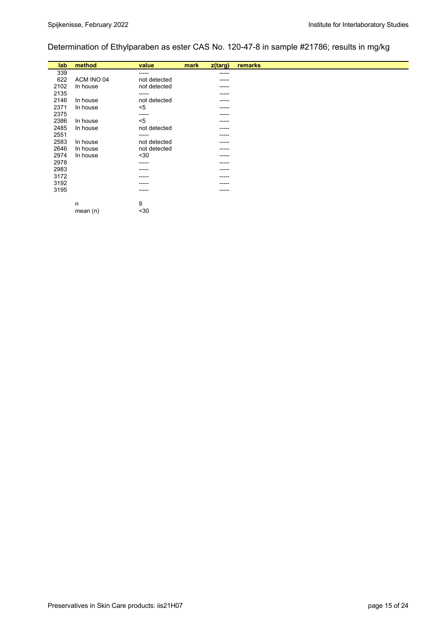# Determination of Ethylparaben as ester CAS No. 120-47-8 in sample #21786; results in mg/kg

| lab  | method     | value        | mark | z(targ) | remarks |
|------|------------|--------------|------|---------|---------|
| 339  |            | -----        |      | ------  |         |
| 622  | ACM INO 04 | not detected |      | -----   |         |
| 2102 | In house   | not detected |      | -----   |         |
| 2135 |            | ------       |      | -----   |         |
| 2146 | In house   | not detected |      | -----   |         |
| 2371 | In house   | $5$          |      | -----   |         |
| 2375 |            | ------       |      | -----   |         |
| 2386 | In house   | $5$          |      | -----   |         |
| 2485 | In house   | not detected |      | -----   |         |
| 2551 |            | ------       |      | -----   |         |
| 2583 | In house   | not detected |      | -----   |         |
| 2646 | In house   | not detected |      | -----   |         |
| 2974 | In house   | $30$         |      | -----   |         |
| 2978 |            | -----        |      | -----   |         |
| 2983 |            | -----        |      | -----   |         |
| 3172 |            | ----         |      | -----   |         |
| 3192 |            | -----        |      | -----   |         |
| 3195 |            | -----        |      | -----   |         |
|      |            | 9            |      |         |         |
|      | n          |              |      |         |         |
|      | mean $(n)$ | $30$         |      |         |         |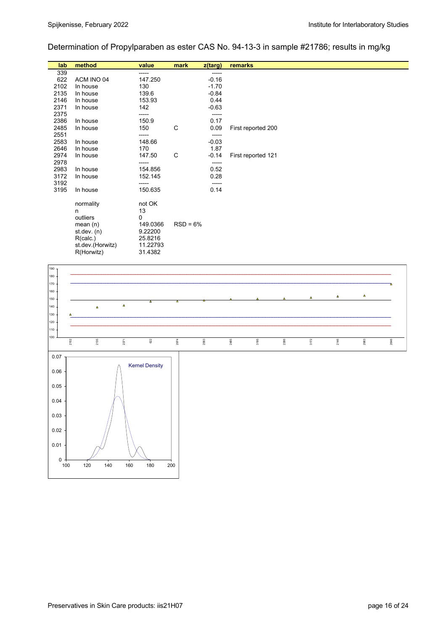Determination of Propylparaben as ester CAS No. 94-13-3 in sample #21786; results in mg/kg

| lab  | method           | value    | mark       | z(targ) | remarks            |  |
|------|------------------|----------|------------|---------|--------------------|--|
| 339  |                  | -----    |            | ------  |                    |  |
| 622  | ACM INO 04       | 147.250  |            | $-0.16$ |                    |  |
| 2102 | In house         | 130      |            | $-1.70$ |                    |  |
| 2135 | In house         | 139.6    |            | $-0.84$ |                    |  |
| 2146 | In house         | 153.93   |            | 0.44    |                    |  |
| 2371 | In house         | 142      |            | $-0.63$ |                    |  |
| 2375 |                  | -----    |            | -----   |                    |  |
| 2386 | In house         | 150.9    |            | 0.17    |                    |  |
| 2485 | In house         | 150      | C          | 0.09    | First reported 200 |  |
| 2551 |                  | -----    |            | -----   |                    |  |
| 2583 | In house         | 148.66   |            | $-0.03$ |                    |  |
| 2646 | In house         | 170      |            | 1.87    |                    |  |
| 2974 | In house         | 147.50   | C          | $-0.14$ | First reported 121 |  |
| 2978 |                  | -----    |            | ------  |                    |  |
| 2983 | In house         | 154.856  |            | 0.52    |                    |  |
| 3172 | In house         | 152.145  |            | 0.28    |                    |  |
| 3192 |                  | -----    |            | -----   |                    |  |
| 3195 | In house         | 150.635  |            | 0.14    |                    |  |
|      |                  |          |            |         |                    |  |
|      | normality        | not OK   |            |         |                    |  |
|      | n                | 13       |            |         |                    |  |
|      | outliers         | 0        |            |         |                    |  |
|      | mean $(n)$       | 149.0366 | $RSD = 6%$ |         |                    |  |
|      | st. dev. (n)     | 9.22200  |            |         |                    |  |
|      | R(calc.)         | 25.8216  |            |         |                    |  |
|      | st.dev.(Horwitz) | 11.22793 |            |         |                    |  |
|      | R(Horwitz)       | 31.4382  |            |         |                    |  |

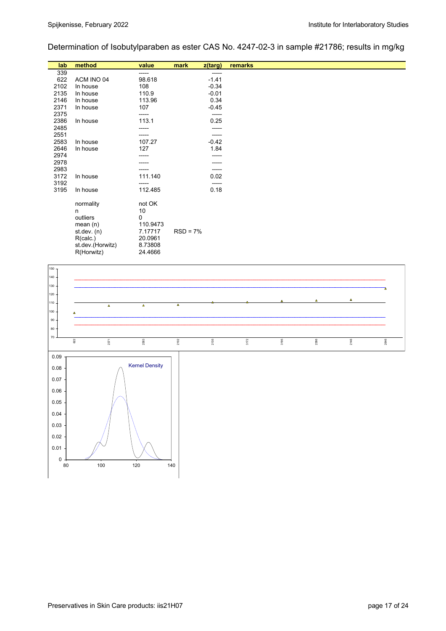Determination of Isobutylparaben as ester CAS No. 4247-02-3 in sample #21786; results in mg/kg

| lab  | method           | value    | mark       | $z$ (targ) | remarks |  |
|------|------------------|----------|------------|------------|---------|--|
| 339  |                  | -----    |            | -----      |         |  |
| 622  | ACM INO 04       | 98.618   |            | $-1.41$    |         |  |
| 2102 | In house         | 108      |            | $-0.34$    |         |  |
| 2135 | In house         | 110.9    |            | $-0.01$    |         |  |
| 2146 | In house         | 113.96   |            | 0.34       |         |  |
| 2371 | In house         | 107      |            | $-0.45$    |         |  |
| 2375 |                  | -----    |            | -----      |         |  |
| 2386 | In house         | 113.1    |            | 0.25       |         |  |
| 2485 |                  |          |            |            |         |  |
| 2551 |                  | -----    |            | -----      |         |  |
| 2583 | In house         | 107.27   |            | $-0.42$    |         |  |
| 2646 | In house         | 127      |            | 1.84       |         |  |
| 2974 |                  |          |            |            |         |  |
| 2978 |                  |          |            |            |         |  |
| 2983 |                  | -----    |            | -----      |         |  |
| 3172 | In house         | 111.140  |            | 0.02       |         |  |
| 3192 |                  | -----    |            | -----      |         |  |
| 3195 | In house         | 112.485  |            | 0.18       |         |  |
|      |                  |          |            |            |         |  |
|      | normality        | not OK   |            |            |         |  |
|      | n                | 10       |            |            |         |  |
|      | outliers         | 0        |            |            |         |  |
|      | mean $(n)$       | 110.9473 |            |            |         |  |
|      | st. dev. (n)     | 7.17717  | $RSD = 7%$ |            |         |  |
|      | R(calc.)         | 20.0961  |            |            |         |  |
|      | st.dev.(Horwitz) | 8.73808  |            |            |         |  |
|      | R(Horwitz)       | 24.4666  |            |            |         |  |

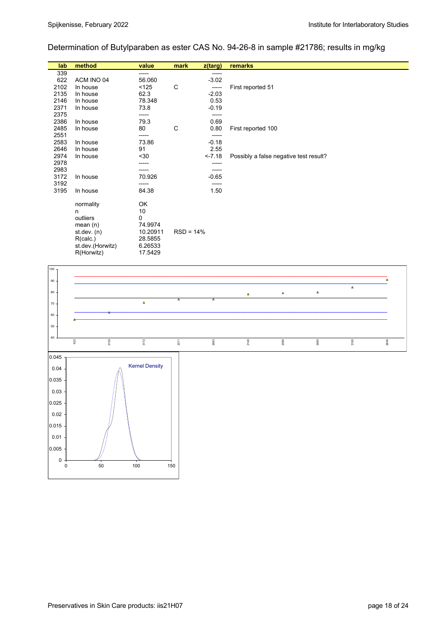## Determination of Butylparaben as ester CAS No. 94-26-8 in sample #21786; results in mg/kg

| lab  | method           | value    | mark        | z(targ) | remarks                                |
|------|------------------|----------|-------------|---------|----------------------------------------|
| 339  |                  | -----    |             | -----   |                                        |
| 622  | ACM INO 04       | 56.060   |             | $-3.02$ |                                        |
| 2102 | In house         | < 125    | C           | -----   | First reported 51                      |
| 2135 | In house         | 62.3     |             | $-2.03$ |                                        |
| 2146 | In house         | 78.348   |             | 0.53    |                                        |
| 2371 | In house         | 73.8     |             | $-0.19$ |                                        |
| 2375 |                  | -----    |             | ------  |                                        |
| 2386 | In house         | 79.3     |             | 0.69    |                                        |
| 2485 | In house         | 80       | C           | 0.80    | First reported 100                     |
| 2551 |                  | -----    |             | -----   |                                        |
| 2583 | In house         | 73.86    |             | $-0.18$ |                                        |
| 2646 | In house         | 91       |             | 2.55    |                                        |
| 2974 | In house         | $30$     |             | $-7.18$ | Possibly a false negative test result? |
| 2978 |                  |          |             | -----   |                                        |
| 2983 |                  | -----    |             |         |                                        |
| 3172 | In house         | 70.926   |             | $-0.65$ |                                        |
| 3192 |                  | -----    |             | -----   |                                        |
| 3195 | In house         | 84.38    |             | 1.50    |                                        |
|      |                  |          |             |         |                                        |
|      | normality        | OK       |             |         |                                        |
|      | n                | 10       |             |         |                                        |
|      | outliers         | 0        |             |         |                                        |
|      | mean $(n)$       | 74.9974  |             |         |                                        |
|      | st. dev. (n)     | 10.20911 | $RSD = 14%$ |         |                                        |
|      | R(calc.)         | 28.5855  |             |         |                                        |
|      | st.dev.(Horwitz) | 6.26533  |             |         |                                        |
|      | R(Horwitz)       | 17.5429  |             |         |                                        |

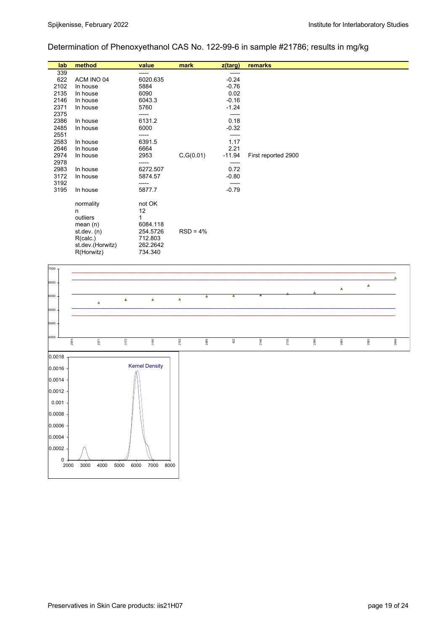## Determination of Phenoxyethanol CAS No. 122-99-6 in sample #21786; results in mg/kg

| lab  | method           | value    | mark       | $z$ (targ) | remarks             |
|------|------------------|----------|------------|------------|---------------------|
| 339  |                  | -----    |            | -----      |                     |
| 622  | ACM INO 04       | 6020.635 |            | $-0.24$    |                     |
| 2102 | In house         | 5884     |            | $-0.76$    |                     |
| 2135 | In house         | 6090     |            | 0.02       |                     |
| 2146 | In house         | 6043.3   |            | $-0.16$    |                     |
| 2371 | In house         | 5760     |            | $-1.24$    |                     |
| 2375 |                  | -----    |            | -----      |                     |
| 2386 | In house         | 6131.2   |            | 0.18       |                     |
| 2485 | In house         | 6000     |            | $-0.32$    |                     |
| 2551 |                  | -----    |            | -----      |                     |
| 2583 | In house         | 6391.5   |            | 1.17       |                     |
| 2646 | In house         | 6664     |            | 2.21       |                     |
| 2974 | In house         | 2953     | C, G(0.01) | $-11.94$   | First reported 2900 |
| 2978 |                  | -----    |            | -----      |                     |
| 2983 | In house         | 6272.507 |            | 0.72       |                     |
| 3172 | In house         | 5874.57  |            | $-0.80$    |                     |
| 3192 |                  | -----    |            | -----      |                     |
| 3195 | In house         | 5877.7   |            | $-0.79$    |                     |
|      | normality        | not OK   |            |            |                     |
|      | n                | 12       |            |            |                     |
|      | outliers         |          |            |            |                     |
|      | mean $(n)$       | 6084.118 |            |            |                     |
|      | st. dev. (n)     | 254.5726 | $RSD = 4%$ |            |                     |
|      | R(calc.)         | 712.803  |            |            |                     |
|      | st.dev.(Horwitz) | 262.2642 |            |            |                     |
|      | R(Horwitz)       | 734.340  |            |            |                     |
|      |                  |          |            |            |                     |

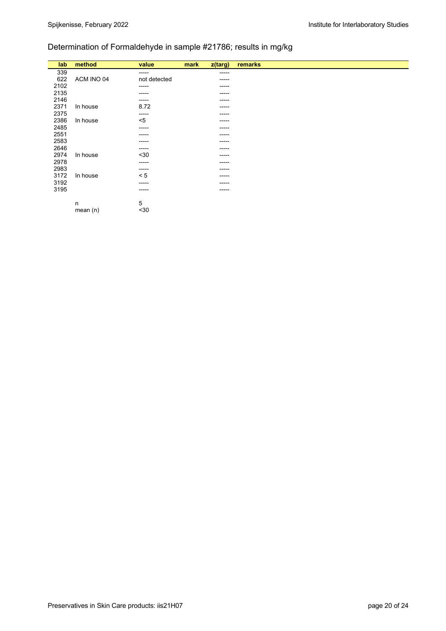## Determination of Formaldehyde in sample #21786; results in mg/kg

| lab  | method     | value        | mark | $z$ (targ) | remarks |
|------|------------|--------------|------|------------|---------|
| 339  |            | $- - - - -$  |      | -----      |         |
| 622  | ACM INO 04 | not detected |      | ------     |         |
| 2102 |            | -----        |      | ------     |         |
| 2135 |            | ------       |      | -----      |         |
| 2146 |            | -----        |      | -----      |         |
| 2371 | In house   | 8.72         |      | ------     |         |
| 2375 |            | $- - - - -$  |      | -----      |         |
| 2386 | In house   | $5$          |      | -----      |         |
| 2485 |            | ------       |      | ------     |         |
| 2551 |            | -----        |      | -----      |         |
| 2583 |            | -----        |      | -----      |         |
| 2646 |            | ------       |      | -----      |         |
| 2974 | In house   | $30$         |      | -----      |         |
| 2978 |            | -----        |      | -----      |         |
| 2983 |            | ------       |      | -----      |         |
| 3172 | In house   | < 5          |      | -----      |         |
| 3192 |            | -----        |      | -----      |         |
| 3195 |            | -----        |      | ------     |         |
|      |            | 5            |      |            |         |
|      | n          | $30$         |      |            |         |
|      | mean $(n)$ |              |      |            |         |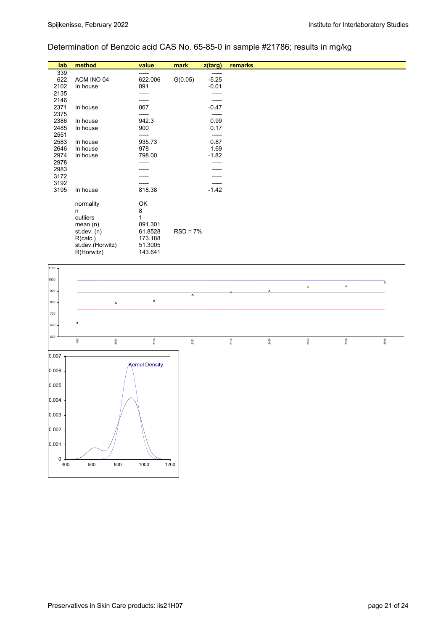## Determination of Benzoic acid CAS No. 65-85-0 in sample #21786; results in mg/kg

| method<br>value<br>remarks<br>lab<br>mark<br>$z$ (targ)<br>339<br>-----<br>-----<br>$-5.25$<br>622<br>ACM INO 04<br>622.006<br>G(0.05)<br>2102<br>$-0.01$<br>891<br>In house<br>2135<br>-----<br>2146<br>-----<br>-----<br>2371<br>867<br>$-0.47$<br>In house<br>2375 |
|-----------------------------------------------------------------------------------------------------------------------------------------------------------------------------------------------------------------------------------------------------------------------|
|                                                                                                                                                                                                                                                                       |
|                                                                                                                                                                                                                                                                       |
|                                                                                                                                                                                                                                                                       |
|                                                                                                                                                                                                                                                                       |
|                                                                                                                                                                                                                                                                       |
|                                                                                                                                                                                                                                                                       |
|                                                                                                                                                                                                                                                                       |
| -----                                                                                                                                                                                                                                                                 |
| 2386<br>942.3<br>0.99<br>In house                                                                                                                                                                                                                                     |
| 2485<br>0.17<br>900<br>In house                                                                                                                                                                                                                                       |
| 2551<br>-----                                                                                                                                                                                                                                                         |
| 0.87<br>2583<br>935.73<br>In house                                                                                                                                                                                                                                    |
| 1.69<br>2646<br>978<br>In house                                                                                                                                                                                                                                       |
| 2974<br>798.00<br>$-1.82$<br>In house                                                                                                                                                                                                                                 |
| 2978<br>-----                                                                                                                                                                                                                                                         |
| 2983                                                                                                                                                                                                                                                                  |
| 3172                                                                                                                                                                                                                                                                  |
| 3192                                                                                                                                                                                                                                                                  |
| 3195<br>$-1.42$<br>818.38<br>In house                                                                                                                                                                                                                                 |
|                                                                                                                                                                                                                                                                       |
| OK<br>normality                                                                                                                                                                                                                                                       |
| 8<br>n                                                                                                                                                                                                                                                                |
| 1<br>outliers                                                                                                                                                                                                                                                         |
| mean $(n)$<br>891.301                                                                                                                                                                                                                                                 |
| $RSD = 7%$<br>st. dev. (n)<br>61.8528                                                                                                                                                                                                                                 |
| R(calc.)<br>173.188                                                                                                                                                                                                                                                   |
| st.dev.(Horwitz)<br>51.3005                                                                                                                                                                                                                                           |
| R(Horwitz)<br>143.641                                                                                                                                                                                                                                                 |

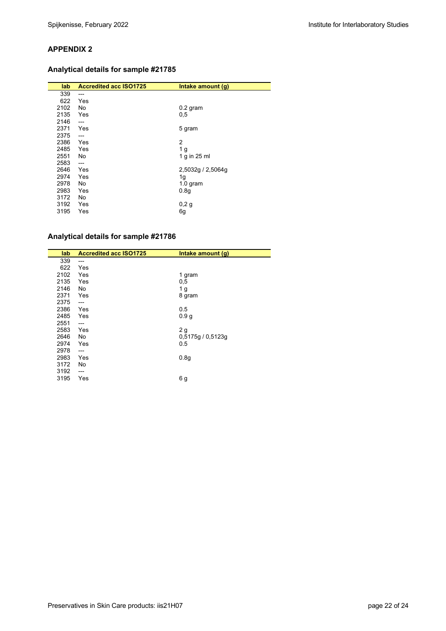## **Analytical details for sample #21785**

| lab. | <b>Accredited acc ISO1725</b> | Intake amount (g) |
|------|-------------------------------|-------------------|
| 339  | ---                           |                   |
| 622  | Yes                           |                   |
| 2102 | No                            | $0.2$ gram        |
| 2135 | Yes                           | 0,5               |
| 2146 | ---                           |                   |
| 2371 | Yes                           | 5 gram            |
| 2375 | $---$                         |                   |
| 2386 | Yes                           | $\overline{2}$    |
| 2485 | Yes                           | 1 <sub>g</sub>    |
| 2551 | No                            | 1 g in 25 ml      |
| 2583 | $---$                         |                   |
| 2646 | Yes                           | 2,5032g / 2,5064g |
| 2974 | Yes                           | 1g                |
| 2978 | No.                           | $1.0$ gram        |
| 2983 | Yes                           | 0.8 <sub>g</sub>  |
| 3172 | No                            |                   |
| 3192 | Yes                           | 0,2g              |
| 3195 | Yes                           | 6g                |

## **Analytical details for sample #21786**

| lab  | <b>Accredited acc ISO1725</b> | Intake amount (g) |
|------|-------------------------------|-------------------|
| 339  | $---$                         |                   |
| 622  | Yes                           |                   |
| 2102 | Yes                           | 1 gram            |
| 2135 | Yes                           | 0,5               |
| 2146 | No                            | 1 <sub>g</sub>    |
| 2371 | Yes                           | 8 gram            |
| 2375 | $---$                         |                   |
| 2386 | Yes                           | 0.5               |
| 2485 | Yes                           | 0.9 <sub>g</sub>  |
| 2551 | ---                           |                   |
| 2583 | Yes                           | 2 <sub>g</sub>    |
| 2646 | No                            | 0,5175g/0,5123g   |
| 2974 | Yes                           | 0.5               |
| 2978 | $---$                         |                   |
| 2983 | Yes                           | 0.8 <sub>g</sub>  |
| 3172 | No                            |                   |
| 3192 | ---                           |                   |
| 3195 | Yes                           | 6g                |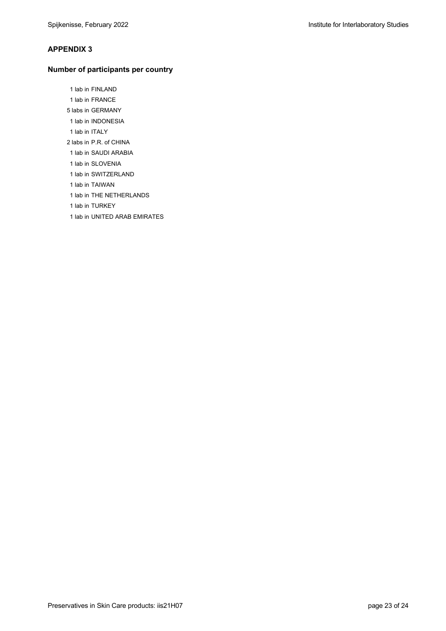#### **Number of participants per country**

 1 lab in FINLAND 1 lab in FRANCE 5 labs in GERMANY 1 lab in INDONESIA 1 lab in ITALY 2 labs in P.R. of CHINA 1 lab in SAUDI ARABIA 1 lab in SLOVENIA

1 lab in SWITZERLAND

1 lab in TAIWAN

1 lab in THE NETHERLANDS

1 lab in TURKEY

1 lab in UNITED ARAB EMIRATES